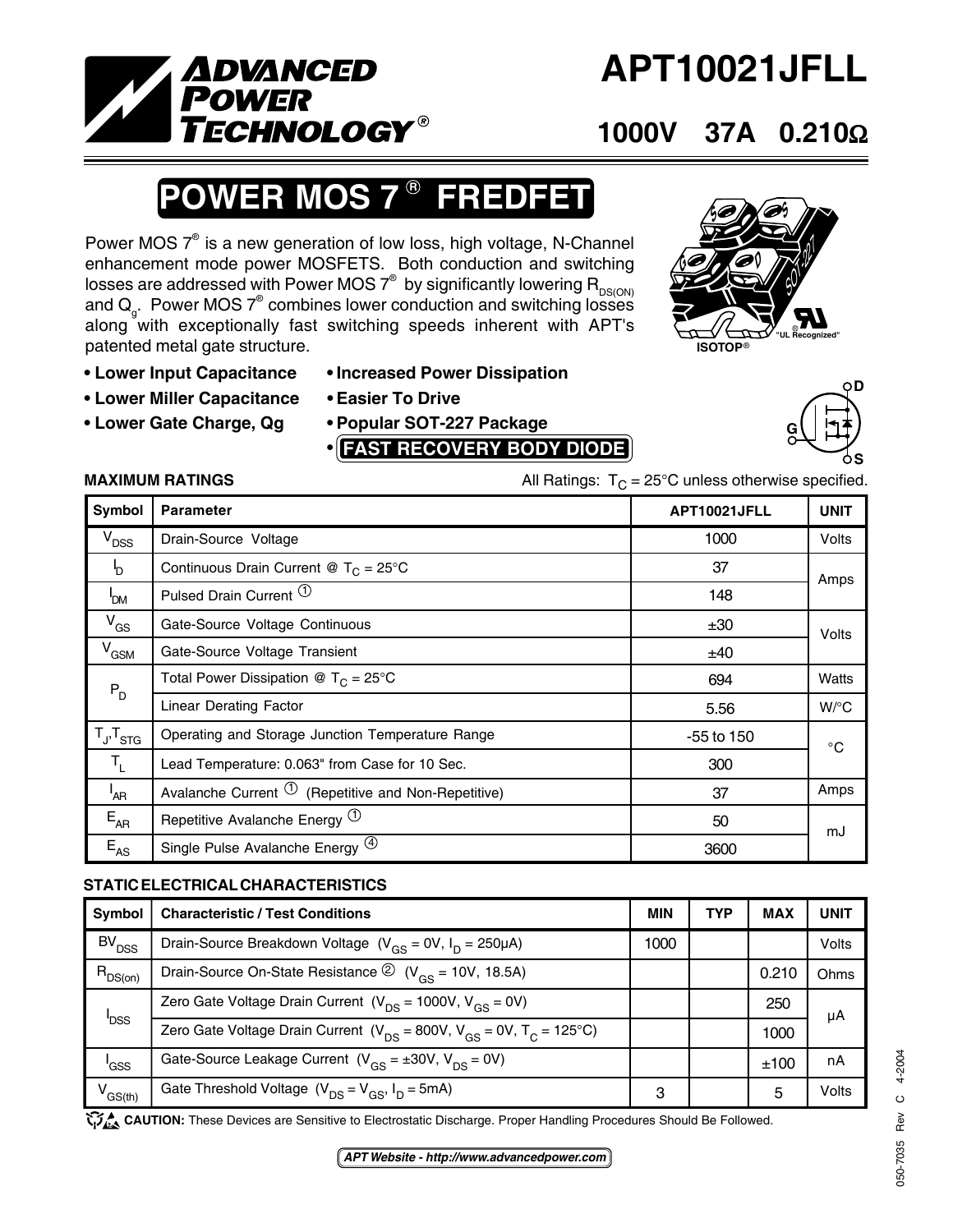

# **APT10021JFLL**

### **1000V 37A 0.210**Ω

## **POWER MOS 7<sup>®</sup> FREDFET**

Power MOS  $7^\circ$  is a new generation of low loss, high voltage, N-Channel enhancement mode power MOSFETS. Both conduction and switching losses are addressed with Power MOS  $7^\circ$  by significantly lowering  $\mathsf{R}_{\mathsf{DS(ON)}}$ and  $\mathsf{Q}_{\mathsf{g}}$ . Power MOS  $7^\circ$  combines lower conduction and switching losses along with exceptionally fast switching speeds inherent with APT's patented metal gate structure.

- **Lower Input Capacitance Increased Power Dissipation**
	-
- **Lower Miller Capacitance Easier To Drive**
- 
- **Lower Gate Charge, Qg Popular SOT-227 Package**
	- **• FAST RECOVERY BODY DIODE**





**MAXIMUM RATINGS** MAXIMUM RATINGS All Ratings:  $T_C = 25^\circ \text{C}$  unless otherwise specified.

| Symbol                    | <b>Parameter</b>                                         | APT10021JFLL | <b>UNIT</b> |
|---------------------------|----------------------------------------------------------|--------------|-------------|
| V <sub>DSS</sub>          | Drain-Source Voltage                                     | 1000         | Volts       |
| 'D                        | Continuous Drain Current @ $T_c = 25^{\circ}$ C          | 37           | Amps        |
| 'DM                       | Pulsed Drain Current <sup>1</sup>                        | 148          |             |
| $V_{GS}$                  | Gate-Source Voltage Continuous                           | ±30          | Volts       |
| $V^{\text{GSM}}$          | Gate-Source Voltage Transient                            | ±40          |             |
| $\mathsf{P}_{\mathsf{D}}$ | Total Power Dissipation @ $T_c = 25^{\circ}$ C           | 694          | Watts       |
|                           | <b>Linear Derating Factor</b>                            | 5.56         | $W$ /°C     |
| $T_{J}$ , $T_{STG}$       | Operating and Storage Junction Temperature Range         | $-55$ to 150 | °C          |
| $T_{L}$                   | Lead Temperature: 0.063" from Case for 10 Sec.           | 300          |             |
| <sup>I</sup> AR           | Avalanche Current $\Phi$ (Repetitive and Non-Repetitive) | 37           | Amps        |
| $E_{AR}$                  | Repetitive Avalanche Energy $(1)$                        | 50           | mJ          |
| $E_{AS}$                  | Single Pulse Avalanche Energy <sup>(4)</sup>             | 3600         |             |

### **STATIC ELECTRICAL CHARACTERISTICS**

| Symbol            | <b>Characteristic / Test Conditions</b>                                            | <b>MIN</b> | <b>TYP</b> | <b>MAX</b> | <b>UNIT</b> |
|-------------------|------------------------------------------------------------------------------------|------------|------------|------------|-------------|
| BV <sub>DSS</sub> | Drain-Source Breakdown Voltage $(V_{GS} = 0V, I_D = 250 \mu A)$                    | 1000       |            |            | Volts       |
| $R_{DS(on)}$      | Drain-Source On-State Resistance $\textcircled{2}$ (V <sub>cs</sub> = 10V, 18.5A)  |            |            | 0.210      | Ohms        |
| <b>DSS</b>        | Zero Gate Voltage Drain Current ( $V_{DS}$ = 1000V, $V_{GS}$ = 0V)                 |            |            | 250        | μA          |
|                   | Zero Gate Voltage Drain Current ( $V_{DS}$ = 800V, $V_{GS}$ = 0V, $T_{C}$ = 125°C) |            |            | 1000       |             |
| 'GSS              | Gate-Source Leakage Current $(V_{GS} = \pm 30V, V_{DS} = 0V)$                      |            |            | ±100       | nA          |
| $V_{GS(th)}$      | Gate Threshold Voltage $(V_{DS} = V_{GS}, I_D = 5mA)$                              | З          |            | 5          | Volts       |

CAUTION: These Devices are Sensitive to Electrostatic Discharge. Proper Handling Procedures Should Be Followed.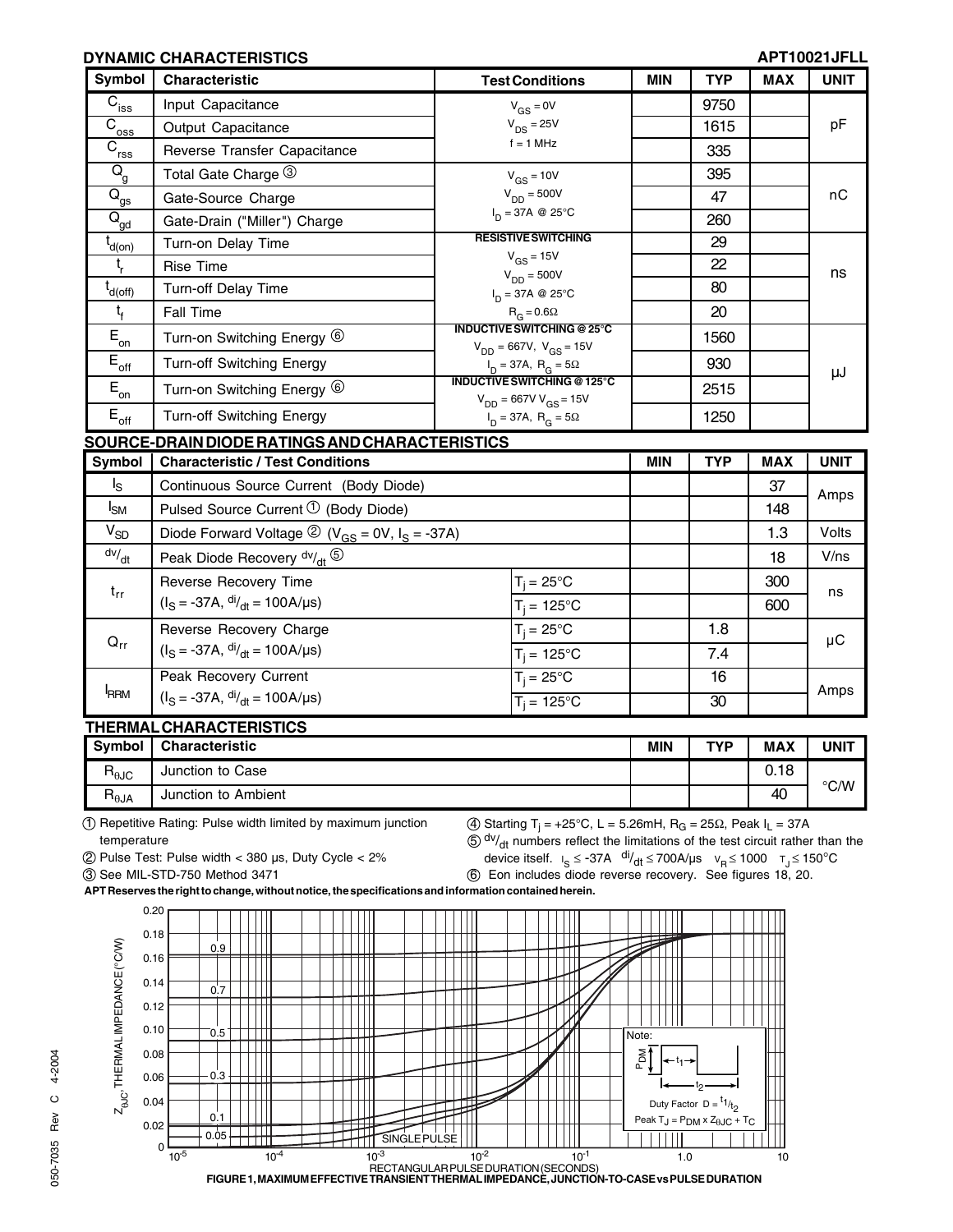#### **DYNAMIC CHARACTERISTICS APT10021JFLL**

Amps

| Symbol                                            | <b>Characteristic</b>                                                                 | <b>Test Conditions</b>                                                | <b>MIN</b> | <b>TYP</b> | <b>MAX</b> | <b>UNIT</b> |  |  |
|---------------------------------------------------|---------------------------------------------------------------------------------------|-----------------------------------------------------------------------|------------|------------|------------|-------------|--|--|
| $\overline{C}_{\sf iss}$                          | Input Capacitance                                                                     | $V_{GS} = 0V$                                                         |            | 9750       |            |             |  |  |
| $\overline{C}_{\underline{oss}}$                  | Output Capacitance                                                                    | $V_{DS} = 25V$                                                        |            | 1615       |            | pF          |  |  |
| $\overline{C}_{\underline{rss}}$                  | Reverse Transfer Capacitance                                                          | $f = 1$ MHz                                                           |            | 335        |            |             |  |  |
| ${\sf Q}_{\sf g}$                                 | Total Gate Charge 3                                                                   | $V_{GS} = 10V$                                                        |            | 395        |            |             |  |  |
| $\overline{\mathsf{Q}}_{\underline{\mathsf{gs}}}$ | Gate-Source Charge                                                                    | $V_{DD} = 500V$                                                       |            | 47         |            | nC          |  |  |
| $\overline{Q}_{\underline{gd}}$                   | Gate-Drain ("Miller") Charge                                                          | $I_D = 37A \otimes 25^{\circ}C$                                       |            | 260        |            |             |  |  |
| $t_{d(on)}$                                       | Turn-on Delay Time                                                                    | <b>RESISTIVE SWITCHING</b>                                            |            | 29         |            |             |  |  |
| $\mathbf{t}_{\mathbf{r}}$                         | <b>Rise Time</b>                                                                      | $V_{GS} = 15V$<br>$V_{DD} = 500V$                                     |            | 22         |            | ns          |  |  |
| $t_{d(off)}$                                      | <b>Turn-off Delay Time</b>                                                            | $I_{D} = 37A \otimes 25^{\circ}C$                                     |            | 80         |            |             |  |  |
| $t_{\rm f}$                                       | <b>Fall Time</b>                                                                      | $R_G = 0.6\Omega$                                                     |            | 20         |            |             |  |  |
| $E_{\underline{\underline{\sigma}}n}$             | Turn-on Switching Energy 6                                                            | <b>INDUCTIVE SWITCHING @ 25°C</b><br>$V_{DD} = 667V$ , $V_{GS} = 15V$ |            | 1560       |            |             |  |  |
| $\mathsf{E}_{\mathsf{off}}$                       | Turn-off Switching Energy                                                             | $I_D = 37A$ , $R_G = 5\Omega$                                         |            | 930        |            | μJ          |  |  |
| $E_{\rm on}$                                      | Turn-on Switching Energy 6                                                            | <b>INDUCTIVE SWITCHING @ 125°C</b><br>$V_{DD} = 667V V_{GS} = 15V$    |            | 2515       |            |             |  |  |
| $\mathsf{E}_{\mathsf{off}}$                       | <b>Turn-off Switching Energy</b>                                                      | $I_D = 37A$ , $R_G = 5\Omega$                                         |            | 1250       |            |             |  |  |
| SOURCE-DRAIN DIODE RATINGS AND CHARACTERISTICS    |                                                                                       |                                                                       |            |            |            |             |  |  |
| Symbol                                            | <b>Characteristic / Test Conditions</b>                                               |                                                                       | <b>MIN</b> | <b>TYP</b> | <b>MAX</b> | <b>UNIT</b> |  |  |
| $I_{\rm S}$                                       | Continuous Source Current (Body Diode)                                                |                                                                       |            |            | 37         | Amps<br>148 |  |  |
| $I_{\text{SM}}$                                   | Pulsed Source Current $\mathcal{D}$ (Body Diode)                                      |                                                                       |            |            |            |             |  |  |
| $V_{SD}$                                          | Diode Forward Voltage $\textcircled{2}$ (V <sub>GS</sub> = 0V, I <sub>S</sub> = -37A) |                                                                       |            |            | 1.3        | Volts       |  |  |
| $\frac{dv}{dt}$                                   | Peak Diode Recovery $dv/dt$                                                           |                                                                       |            |            | 18         | V/ns        |  |  |
| $t_{rr}$                                          | Reverse Recovery Time                                                                 | $T_i = 25^{\circ}C$                                                   |            |            | 300        | ns          |  |  |
|                                                   | $(IS = -37A, \frac{di}{dt} = 100A/\mu s)$                                             | $T_i = 125$ °C                                                        |            |            | 600        |             |  |  |
| $Q_{rr}$                                          | Reverse Recovery Charge                                                               | $T_i = 25^{\circ}C$                                                   |            | 1.8        |            | $\mu$ C     |  |  |
|                                                   | $(IS = -37A, dIdt = 100A/µs)$                                                         | $T_i = 125$ °C                                                        |            | 7.4        |            |             |  |  |

#### **THERMAL CHARACTERISTICS**

I RRM

| <b>Symbol</b>        | <b>Characteristic</b> | <b>MIN</b> | TVD | <b>MAX</b> | UNIT |
|----------------------|-----------------------|------------|-----|------------|------|
| ▫<br>$n_{\theta}$ JC | Junction to Case      |            |     | 0.18       | °C/W |
| $R_{\theta JA}$      | Junction to Ambient   |            |     | 40         |      |

1 Repetitive Rating: Pulse width limited by maximum junction temperature

 $\textcircled{4}$  Starting T<sub>j</sub> = +25°C, L = 5.26mH, R<sub>G</sub> = 25 $\Omega$ , Peak I<sub>L</sub> = 37A  $50$  <sup>dv</sup>/<sub>dt</sub> numbers reflect the limitations of the test circuit rather than the

2 Pulse Test: Pulse width < 380 µs, Duty Cycle < 2%

Peak Recovery Current  $(I_S = -37A, \frac{di}{dt} = 100A/\mu s)$ 

3 See MIL-STD-750 Method 3471

device itself.  $I_S \leq -37A \frac{di}{dt} \leq 700A/\mu s \quad V_R \leq 1000 \quad T_J \leq 150^{\circ}C$ 6 Eon includes diode reverse recovery. See figures 18, 20.

 $T_i = 25^{\circ}C$  | 16  $T_i = 125^{\circ}C$  | 30

**APT Reserves the right to change, without notice, the specifications and information contained herein.**

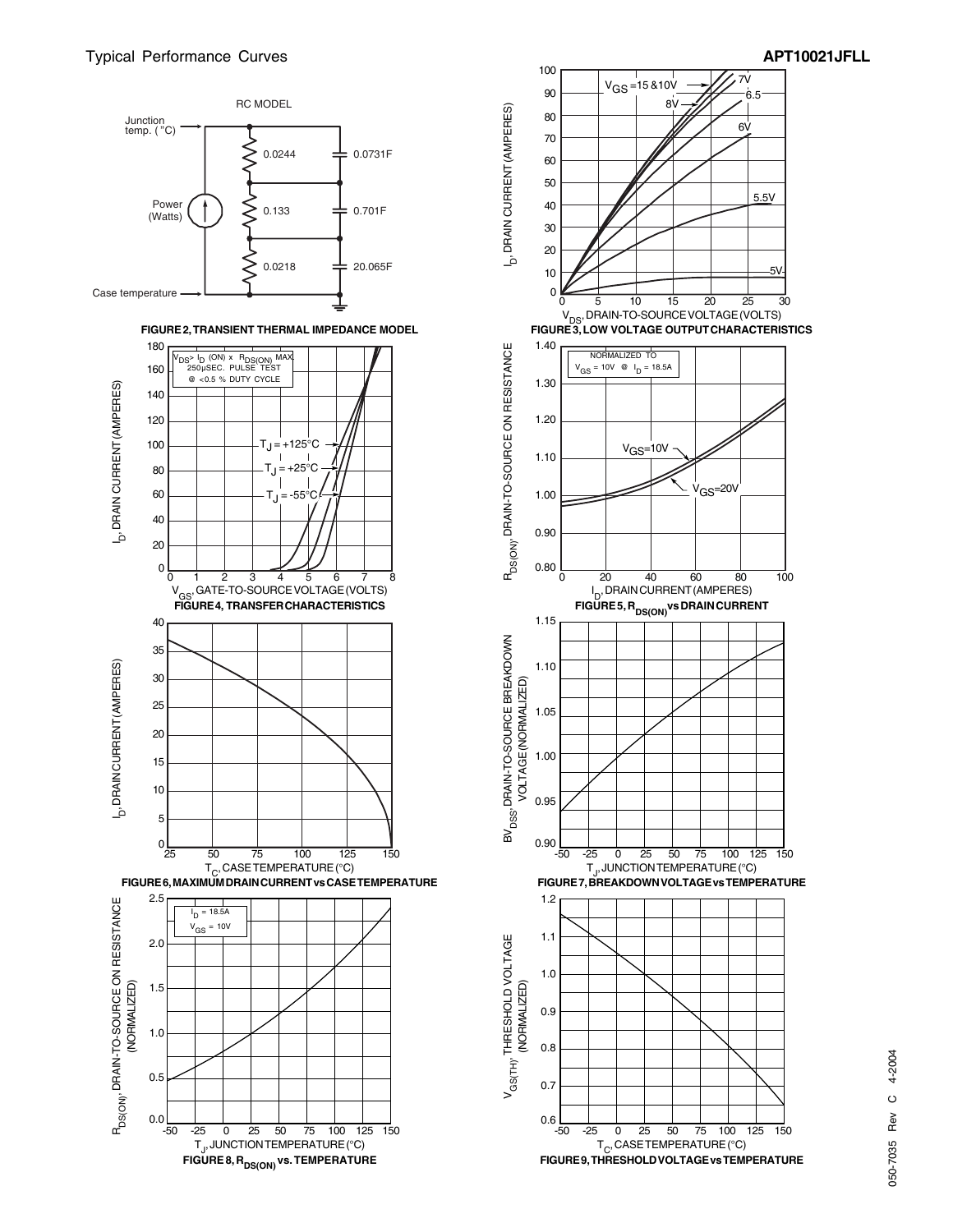



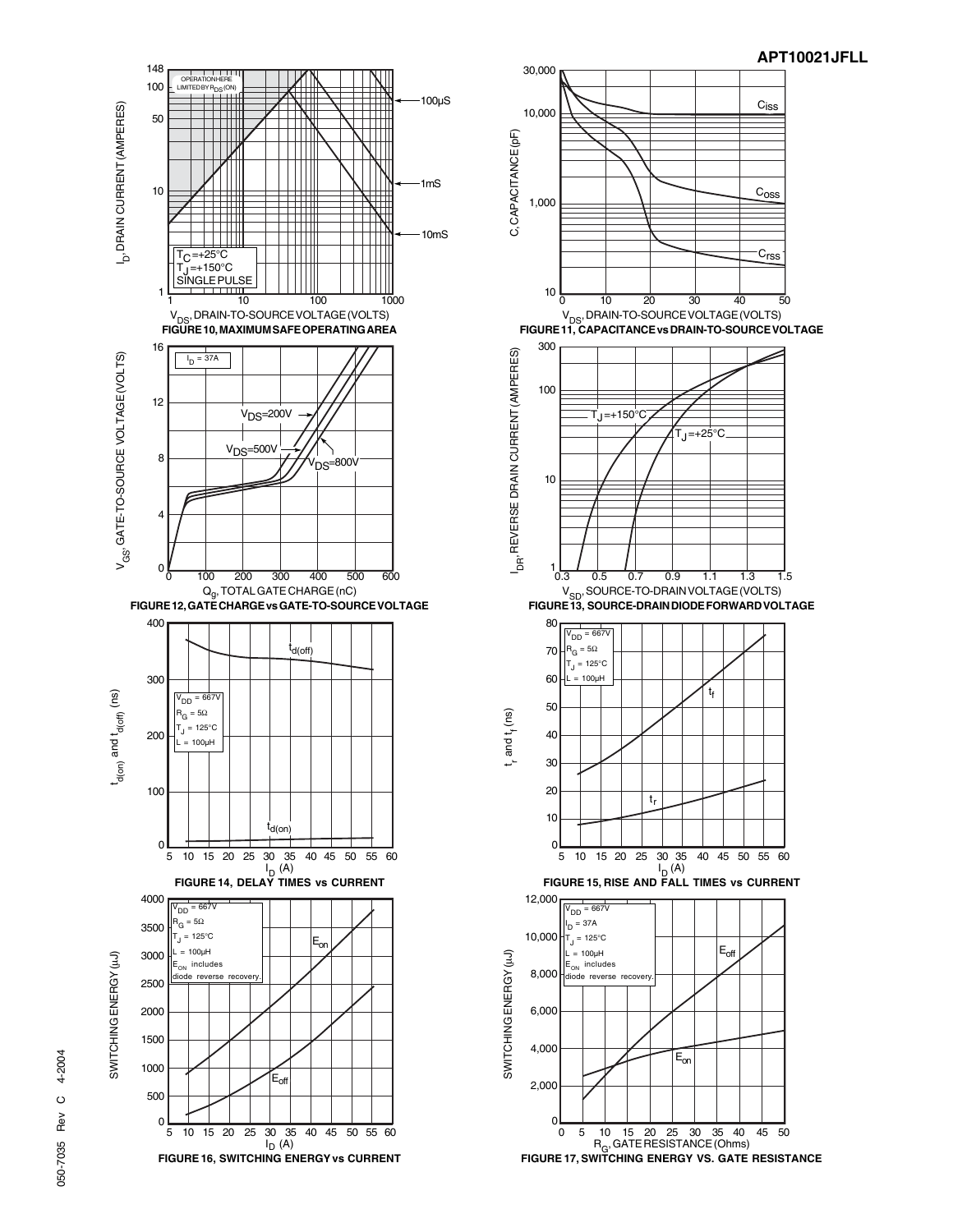



4-2004 050-7035 Rev C 4-2004  $\circ$ Rev 050-7035